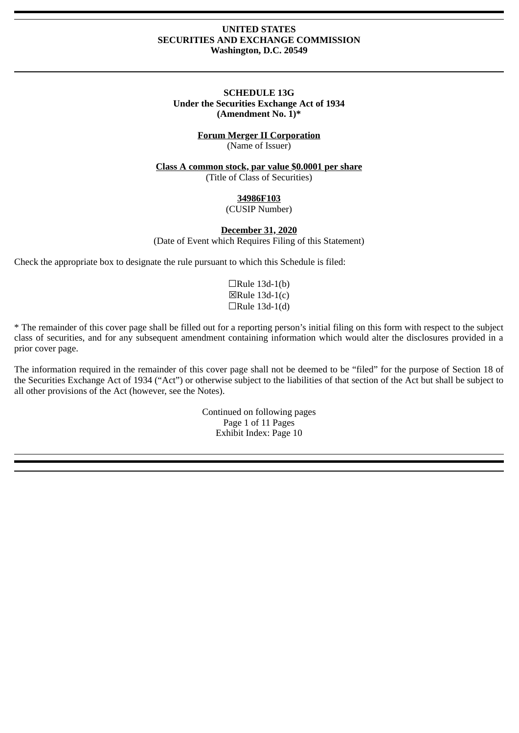## **UNITED STATES SECURITIES AND EXCHANGE COMMISSION Washington, D.C. 20549**

## **SCHEDULE 13G Under the Securities Exchange Act of 1934 (Amendment No. 1)\***

## **Forum Merger II Corporation** (Name of Issuer)

**Class A common stock, par value \$0.0001 per share** (Title of Class of Securities)

# **34986F103**

(CUSIP Number)

## **December 31, 2020**

(Date of Event which Requires Filing of this Statement)

Check the appropriate box to designate the rule pursuant to which this Schedule is filed:

 $\Box$ Rule 13d-1(b) ☒Rule 13d-1(c)  $\Box$ Rule 13d-1(d)

\* The remainder of this cover page shall be filled out for a reporting person's initial filing on this form with respect to the subject class of securities, and for any subsequent amendment containing information which would alter the disclosures provided in a prior cover page.

The information required in the remainder of this cover page shall not be deemed to be "filed" for the purpose of Section 18 of the Securities Exchange Act of 1934 ("Act") or otherwise subject to the liabilities of that section of the Act but shall be subject to all other provisions of the Act (however, see the Notes).

> Continued on following pages Page 1 of 11 Pages Exhibit Index: Page 10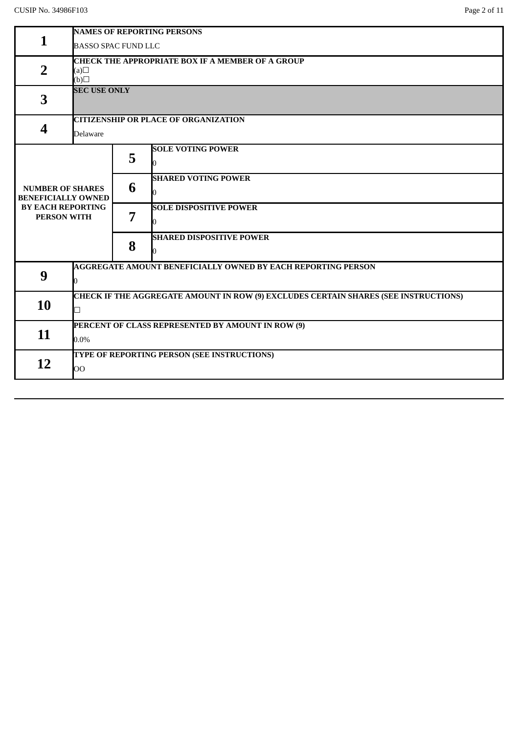|                                                       | <b>NAMES OF REPORTING PERSONS</b>                                                          |                                             |                                                                     |  |  |  |
|-------------------------------------------------------|--------------------------------------------------------------------------------------------|---------------------------------------------|---------------------------------------------------------------------|--|--|--|
| $\mathbf{1}$                                          | <b>BASSO SPAC FUND LLC</b>                                                                 |                                             |                                                                     |  |  |  |
|                                                       | <b>CHECK THE APPROPRIATE BOX IF A MEMBER OF A GROUP</b>                                    |                                             |                                                                     |  |  |  |
| $\overline{2}$                                        | $\Box(a)$                                                                                  |                                             |                                                                     |  |  |  |
|                                                       | $\Box$ (d)                                                                                 |                                             |                                                                     |  |  |  |
| 3                                                     | <b>SEC USE ONLY</b>                                                                        |                                             |                                                                     |  |  |  |
|                                                       |                                                                                            |                                             |                                                                     |  |  |  |
|                                                       | <b>CITIZENSHIP OR PLACE OF ORGANIZATION</b>                                                |                                             |                                                                     |  |  |  |
| 4                                                     | <b>Delaware</b>                                                                            |                                             |                                                                     |  |  |  |
|                                                       |                                                                                            |                                             | <b>SOLE VOTING POWER</b>                                            |  |  |  |
|                                                       |                                                                                            | 5                                           |                                                                     |  |  |  |
|                                                       |                                                                                            | 6                                           | <b>SHARED VOTING POWER</b>                                          |  |  |  |
| <b>NUMBER OF SHARES</b>                               |                                                                                            |                                             |                                                                     |  |  |  |
| <b>BENEFICIALLY OWNED</b><br><b>BY EACH REPORTING</b> |                                                                                            |                                             | <b>SOLE DISPOSITIVE POWER</b>                                       |  |  |  |
| <b>PERSON WITH</b>                                    |                                                                                            | 7                                           |                                                                     |  |  |  |
|                                                       |                                                                                            |                                             |                                                                     |  |  |  |
|                                                       |                                                                                            | 8                                           | <b>SHARED DISPOSITIVE POWER</b>                                     |  |  |  |
|                                                       |                                                                                            |                                             |                                                                     |  |  |  |
|                                                       |                                                                                            |                                             | <b>AGGREGATE AMOUNT BENEFICIALLY OWNED BY EACH REPORTING PERSON</b> |  |  |  |
| 9                                                     |                                                                                            |                                             |                                                                     |  |  |  |
|                                                       | <b>CHECK IF THE AGGREGATE AMOUNT IN ROW (9) EXCLUDES CERTAIN SHARES (SEE INSTRUCTIONS)</b> |                                             |                                                                     |  |  |  |
| 10                                                    |                                                                                            |                                             |                                                                     |  |  |  |
|                                                       | PERCENT OF CLASS REPRESENTED BY AMOUNT IN ROW (9)                                          |                                             |                                                                     |  |  |  |
| 11                                                    | $0.0\%$                                                                                    |                                             |                                                                     |  |  |  |
|                                                       |                                                                                            | TYPE OF REPORTING PERSON (SEE INSTRUCTIONS) |                                                                     |  |  |  |
| 12                                                    |                                                                                            |                                             |                                                                     |  |  |  |
|                                                       | OO                                                                                         |                                             |                                                                     |  |  |  |
|                                                       |                                                                                            |                                             |                                                                     |  |  |  |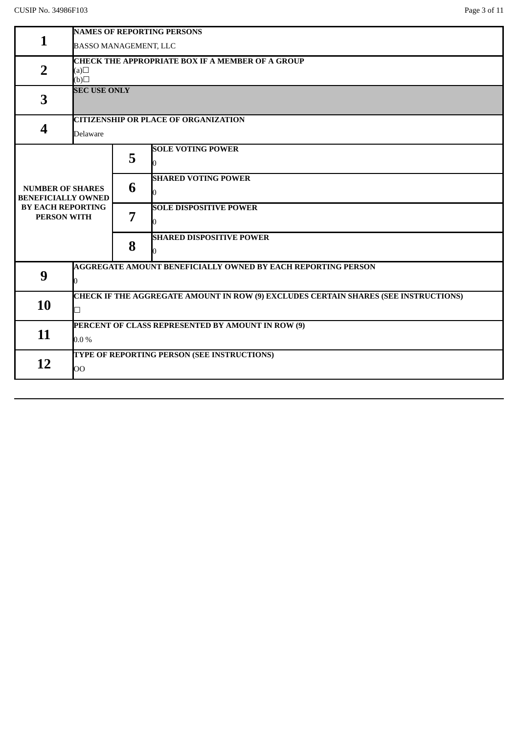|                                                | <b>NAMES OF REPORTING PERSONS</b>                                                          |                                             |                                                                     |  |  |  |
|------------------------------------------------|--------------------------------------------------------------------------------------------|---------------------------------------------|---------------------------------------------------------------------|--|--|--|
| $\mathbf{1}$                                   | BASSO MANAGEMENT, LLC                                                                      |                                             |                                                                     |  |  |  |
|                                                | <b>CHECK THE APPROPRIATE BOX IF A MEMBER OF A GROUP</b>                                    |                                             |                                                                     |  |  |  |
| $\overline{2}$                                 | (a)                                                                                        |                                             |                                                                     |  |  |  |
|                                                |                                                                                            | $\Box$ (d)                                  |                                                                     |  |  |  |
| 3                                              | <b>SEC USE ONLY</b>                                                                        |                                             |                                                                     |  |  |  |
|                                                |                                                                                            |                                             |                                                                     |  |  |  |
|                                                |                                                                                            | <b>CITIZENSHIP OR PLACE OF ORGANIZATION</b> |                                                                     |  |  |  |
| 4                                              | Delaware                                                                                   |                                             |                                                                     |  |  |  |
|                                                |                                                                                            |                                             | <b>SOLE VOTING POWER</b>                                            |  |  |  |
|                                                |                                                                                            | 5                                           |                                                                     |  |  |  |
|                                                |                                                                                            |                                             | <b>SHARED VOTING POWER</b>                                          |  |  |  |
| <b>NUMBER OF SHARES</b>                        |                                                                                            | 6                                           |                                                                     |  |  |  |
| <b>BENEFICIALLY OWNED</b>                      |                                                                                            |                                             |                                                                     |  |  |  |
| <b>BY EACH REPORTING</b><br><b>PERSON WITH</b> |                                                                                            | 7                                           | <b>SOLE DISPOSITIVE POWER</b>                                       |  |  |  |
|                                                |                                                                                            |                                             |                                                                     |  |  |  |
|                                                |                                                                                            |                                             | <b>SHARED DISPOSITIVE POWER</b>                                     |  |  |  |
|                                                |                                                                                            | 8                                           |                                                                     |  |  |  |
|                                                |                                                                                            |                                             | <b>AGGREGATE AMOUNT BENEFICIALLY OWNED BY EACH REPORTING PERSON</b> |  |  |  |
| 9                                              |                                                                                            |                                             |                                                                     |  |  |  |
|                                                |                                                                                            |                                             |                                                                     |  |  |  |
| 10                                             | <b>CHECK IF THE AGGREGATE AMOUNT IN ROW (9) EXCLUDES CERTAIN SHARES (SEE INSTRUCTIONS)</b> |                                             |                                                                     |  |  |  |
|                                                | ┑                                                                                          |                                             |                                                                     |  |  |  |
| 11                                             | PERCENT OF CLASS REPRESENTED BY AMOUNT IN ROW (9)                                          |                                             |                                                                     |  |  |  |
|                                                | $0.0\%$                                                                                    |                                             |                                                                     |  |  |  |
|                                                |                                                                                            | TYPE OF REPORTING PERSON (SEE INSTRUCTIONS) |                                                                     |  |  |  |
| 12                                             | OO                                                                                         |                                             |                                                                     |  |  |  |
|                                                |                                                                                            |                                             |                                                                     |  |  |  |
|                                                |                                                                                            |                                             |                                                                     |  |  |  |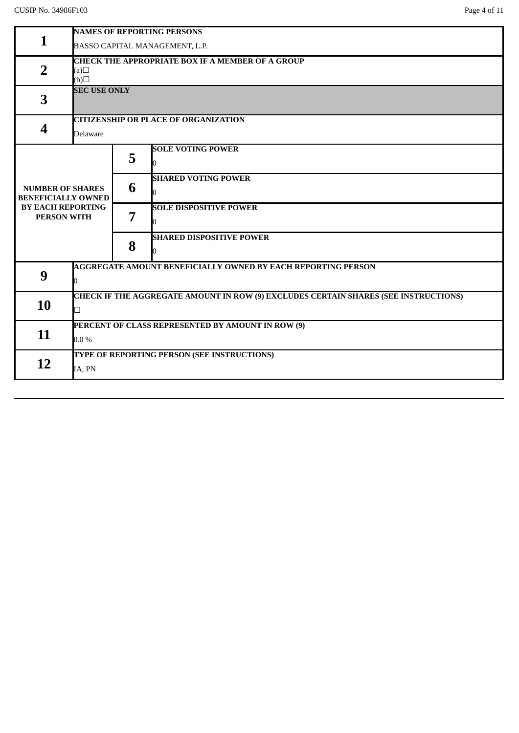|                                                | <b>NAMES OF REPORTING PERSONS</b>                                                   |                                                         |                                                                     |  |  |  |
|------------------------------------------------|-------------------------------------------------------------------------------------|---------------------------------------------------------|---------------------------------------------------------------------|--|--|--|
| 1                                              | BASSO CAPITAL MANAGEMENT, L.P.                                                      |                                                         |                                                                     |  |  |  |
|                                                |                                                                                     | <b>CHECK THE APPROPRIATE BOX IF A MEMBER OF A GROUP</b> |                                                                     |  |  |  |
| $\overline{2}$                                 | (a)                                                                                 |                                                         |                                                                     |  |  |  |
|                                                | $\Box$ (d)                                                                          |                                                         |                                                                     |  |  |  |
| 3                                              | <b>SEC USE ONLY</b>                                                                 |                                                         |                                                                     |  |  |  |
|                                                |                                                                                     |                                                         |                                                                     |  |  |  |
|                                                |                                                                                     | <b>CITIZENSHIP OR PLACE OF ORGANIZATION</b>             |                                                                     |  |  |  |
| 4                                              | <b>Delaware</b>                                                                     |                                                         |                                                                     |  |  |  |
|                                                |                                                                                     |                                                         | <b>SOLE VOTING POWER</b>                                            |  |  |  |
|                                                |                                                                                     | 5                                                       |                                                                     |  |  |  |
|                                                |                                                                                     |                                                         | <b>SHARED VOTING POWER</b>                                          |  |  |  |
| <b>NUMBER OF SHARES</b>                        |                                                                                     | 6                                                       |                                                                     |  |  |  |
| <b>BENEFICIALLY OWNED</b>                      |                                                                                     |                                                         | n                                                                   |  |  |  |
| <b>BY EACH REPORTING</b><br><b>PERSON WITH</b> |                                                                                     | 7                                                       | <b>SOLE DISPOSITIVE POWER</b>                                       |  |  |  |
|                                                |                                                                                     |                                                         |                                                                     |  |  |  |
|                                                |                                                                                     |                                                         | <b>SHARED DISPOSITIVE POWER</b>                                     |  |  |  |
|                                                |                                                                                     | 8                                                       |                                                                     |  |  |  |
|                                                |                                                                                     |                                                         | <b>AGGREGATE AMOUNT BENEFICIALLY OWNED BY EACH REPORTING PERSON</b> |  |  |  |
| 9                                              |                                                                                     |                                                         |                                                                     |  |  |  |
|                                                |                                                                                     |                                                         |                                                                     |  |  |  |
| 10                                             | CHECK IF THE AGGREGATE AMOUNT IN ROW (9) EXCLUDES CERTAIN SHARES (SEE INSTRUCTIONS) |                                                         |                                                                     |  |  |  |
|                                                | ┑                                                                                   |                                                         |                                                                     |  |  |  |
| 11                                             |                                                                                     | PERCENT OF CLASS REPRESENTED BY AMOUNT IN ROW (9)       |                                                                     |  |  |  |
|                                                | $0.0\%$                                                                             |                                                         |                                                                     |  |  |  |
|                                                | TYPE OF REPORTING PERSON (SEE INSTRUCTIONS)                                         |                                                         |                                                                     |  |  |  |
| 12                                             | IA, PN                                                                              |                                                         |                                                                     |  |  |  |
|                                                |                                                                                     |                                                         |                                                                     |  |  |  |
|                                                |                                                                                     |                                                         |                                                                     |  |  |  |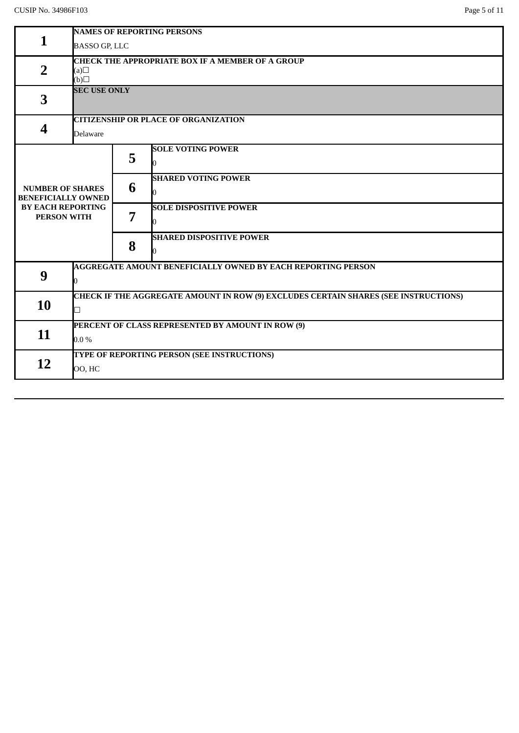| $\mathbf{1}$                                         | <b>NAMES OF REPORTING PERSONS</b>                                                          |                                                         |                                 |  |  |  |
|------------------------------------------------------|--------------------------------------------------------------------------------------------|---------------------------------------------------------|---------------------------------|--|--|--|
|                                                      | <b>BASSO GP, LLC</b>                                                                       |                                                         |                                 |  |  |  |
|                                                      |                                                                                            | <b>CHECK THE APPROPRIATE BOX IF A MEMBER OF A GROUP</b> |                                 |  |  |  |
| $\overline{2}$                                       | (a)                                                                                        |                                                         |                                 |  |  |  |
|                                                      | $\Box$ (d)                                                                                 |                                                         |                                 |  |  |  |
|                                                      | <b>SEC USE ONLY</b>                                                                        |                                                         |                                 |  |  |  |
| 3                                                    |                                                                                            |                                                         |                                 |  |  |  |
|                                                      |                                                                                            |                                                         |                                 |  |  |  |
| $\overline{\mathbf{4}}$                              |                                                                                            | <b>CITIZENSHIP OR PLACE OF ORGANIZATION</b>             |                                 |  |  |  |
|                                                      | Delaware                                                                                   |                                                         |                                 |  |  |  |
|                                                      |                                                                                            |                                                         | <b>SOLE VOTING POWER</b>        |  |  |  |
|                                                      |                                                                                            | 5                                                       | O                               |  |  |  |
|                                                      |                                                                                            |                                                         |                                 |  |  |  |
|                                                      |                                                                                            | 6                                                       | <b>SHARED VOTING POWER</b>      |  |  |  |
| <b>NUMBER OF SHARES</b><br><b>BENEFICIALLY OWNED</b> |                                                                                            |                                                         | 0                               |  |  |  |
| <b>BY EACH REPORTING</b>                             |                                                                                            | 7                                                       | <b>SOLE DISPOSITIVE POWER</b>   |  |  |  |
| <b>PERSON WITH</b>                                   |                                                                                            |                                                         |                                 |  |  |  |
|                                                      |                                                                                            |                                                         | 0                               |  |  |  |
|                                                      |                                                                                            |                                                         | <b>SHARED DISPOSITIVE POWER</b> |  |  |  |
|                                                      |                                                                                            | 8                                                       | N                               |  |  |  |
|                                                      |                                                                                            |                                                         |                                 |  |  |  |
| 9                                                    | <b>AGGREGATE AMOUNT BENEFICIALLY OWNED BY EACH REPORTING PERSON</b>                        |                                                         |                                 |  |  |  |
|                                                      |                                                                                            |                                                         |                                 |  |  |  |
| 10                                                   | <b>CHECK IF THE AGGREGATE AMOUNT IN ROW (9) EXCLUDES CERTAIN SHARES (SEE INSTRUCTIONS)</b> |                                                         |                                 |  |  |  |
|                                                      | $\overline{\phantom{a}}$                                                                   |                                                         |                                 |  |  |  |
|                                                      |                                                                                            |                                                         |                                 |  |  |  |
| 11                                                   | PERCENT OF CLASS REPRESENTED BY AMOUNT IN ROW (9)                                          |                                                         |                                 |  |  |  |
|                                                      | $0.0\%$                                                                                    |                                                         |                                 |  |  |  |
|                                                      | TYPE OF REPORTING PERSON (SEE INSTRUCTIONS)                                                |                                                         |                                 |  |  |  |
| 12                                                   | 00, HC                                                                                     |                                                         |                                 |  |  |  |
|                                                      |                                                                                            |                                                         |                                 |  |  |  |
|                                                      |                                                                                            |                                                         |                                 |  |  |  |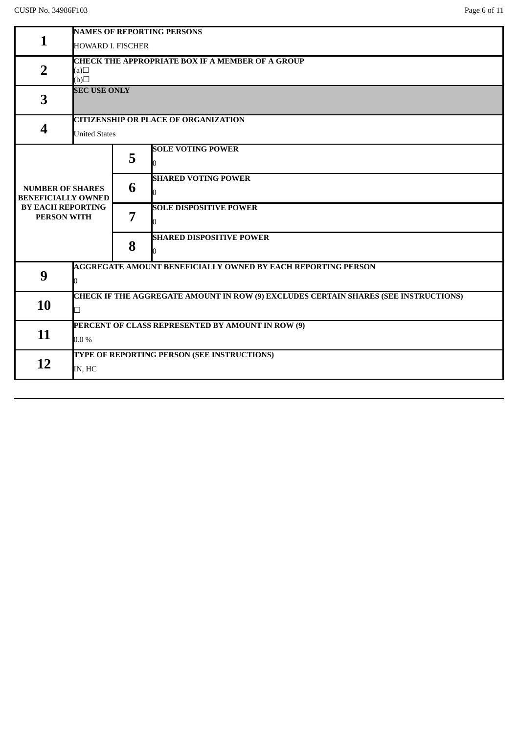|                                                      | <b>NAMES OF REPORTING PERSONS</b>                       |   |                                                                                            |  |  |
|------------------------------------------------------|---------------------------------------------------------|---|--------------------------------------------------------------------------------------------|--|--|
| 1                                                    | <b>HOWARD I. FISCHER</b>                                |   |                                                                                            |  |  |
|                                                      | <b>CHECK THE APPROPRIATE BOX IF A MEMBER OF A GROUP</b> |   |                                                                                            |  |  |
| $\overline{2}$                                       | (a)                                                     |   |                                                                                            |  |  |
|                                                      | $\Box$ (d)<br><b>SEC USE ONLY</b>                       |   |                                                                                            |  |  |
| 3                                                    |                                                         |   |                                                                                            |  |  |
|                                                      | <b>CITIZENSHIP OR PLACE OF ORGANIZATION</b>             |   |                                                                                            |  |  |
| 4                                                    |                                                         |   |                                                                                            |  |  |
|                                                      | <b>United States</b>                                    |   |                                                                                            |  |  |
|                                                      |                                                         | 5 | <b>SOLE VOTING POWER</b>                                                                   |  |  |
|                                                      |                                                         |   |                                                                                            |  |  |
|                                                      |                                                         | 6 | <b>SHARED VOTING POWER</b>                                                                 |  |  |
| <b>NUMBER OF SHARES</b><br><b>BENEFICIALLY OWNED</b> |                                                         |   | n                                                                                          |  |  |
| <b>BY EACH REPORTING</b>                             |                                                         | 7 | <b>SOLE DISPOSITIVE POWER</b>                                                              |  |  |
| <b>PERSON WITH</b>                                   |                                                         |   |                                                                                            |  |  |
|                                                      |                                                         |   | <b>SHARED DISPOSITIVE POWER</b>                                                            |  |  |
|                                                      |                                                         | 8 | n                                                                                          |  |  |
|                                                      |                                                         |   | <b>AGGREGATE AMOUNT BENEFICIALLY OWNED BY EACH REPORTING PERSON</b>                        |  |  |
| 9                                                    |                                                         |   |                                                                                            |  |  |
|                                                      |                                                         |   | <b>CHECK IF THE AGGREGATE AMOUNT IN ROW (9) EXCLUDES CERTAIN SHARES (SEE INSTRUCTIONS)</b> |  |  |
| 10                                                   | п                                                       |   |                                                                                            |  |  |
|                                                      |                                                         |   |                                                                                            |  |  |
| 11                                                   | PERCENT OF CLASS REPRESENTED BY AMOUNT IN ROW (9)       |   |                                                                                            |  |  |
|                                                      | $0.0\%$                                                 |   |                                                                                            |  |  |
| 12                                                   | TYPE OF REPORTING PERSON (SEE INSTRUCTIONS)             |   |                                                                                            |  |  |
|                                                      | IN, HC                                                  |   |                                                                                            |  |  |
|                                                      |                                                         |   |                                                                                            |  |  |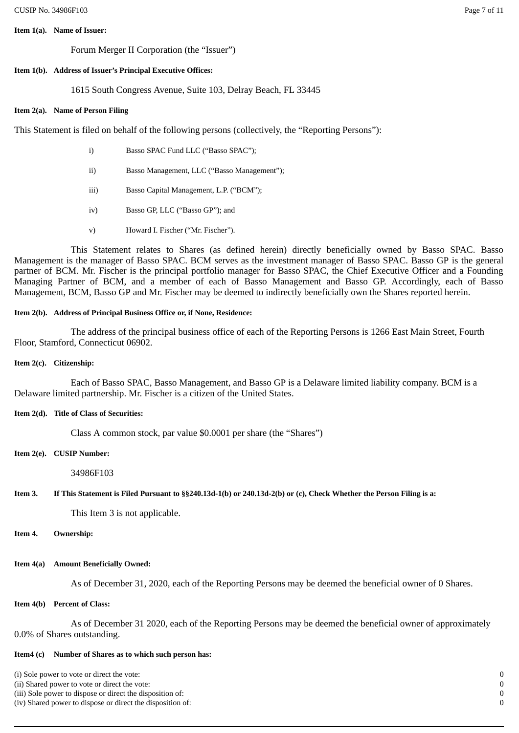#### **Item 1(a). Name of Issuer:**

Forum Merger II Corporation (the "Issuer")

# **Item 1(b). Address of Issuer's Principal Executive Offices:**

1615 South Congress Avenue, Suite 103, Delray Beach, FL 33445

# **Item 2(a). Name of Person Filing**

This Statement is filed on behalf of the following persons (collectively, the "Reporting Persons"):

- i) Basso SPAC Fund LLC ("Basso SPAC");
- ii) Basso Management, LLC ("Basso Management");
- iii) Basso Capital Management, L.P. ("BCM");
- iv) Basso GP, LLC ("Basso GP"); and
- v) Howard I. Fischer ("Mr. Fischer").

This Statement relates to Shares (as defined herein) directly beneficially owned by Basso SPAC. Basso Management is the manager of Basso SPAC. BCM serves as the investment manager of Basso SPAC. Basso GP is the general partner of BCM. Mr. Fischer is the principal portfolio manager for Basso SPAC, the Chief Executive Officer and a Founding Managing Partner of BCM, and a member of each of Basso Management and Basso GP. Accordingly, each of Basso Management, BCM, Basso GP and Mr. Fischer may be deemed to indirectly beneficially own the Shares reported herein.

# **Item 2(b). Address of Principal Business Office or, if None, Residence:**

The address of the principal business office of each of the Reporting Persons is 1266 East Main Street, Fourth Floor, Stamford, Connecticut 06902.

## **Item 2(c). Citizenship:**

Each of Basso SPAC, Basso Management, and Basso GP is a Delaware limited liability company. BCM is a Delaware limited partnership. Mr. Fischer is a citizen of the United States.

# **Item 2(d). Title of Class of Securities:**

Class A common stock, par value \$0.0001 per share (the "Shares")

## **Item 2(e). CUSIP Number:**

34986F103

## Item 3. If This Statement is Filed Pursuant to §§240.13d-1(b) or 240.13d-2(b) or (c), Check Whether the Person Filing is a:

This Item 3 is not applicable.

## **Item 4. Ownership:**

## **Item 4(a) Amount Beneficially Owned:**

As of December 31, 2020, each of the Reporting Persons may be deemed the beneficial owner of 0 Shares.

## **Item 4(b) Percent of Class:**

As of December 31 2020, each of the Reporting Persons may be deemed the beneficial owner of approximately 0.0% of Shares outstanding.

## **Item4 (c) Number of Shares as to which such person has:**

- (i) Sole power to vote or direct the vote: 0
- (ii) Shared power to vote or direct the vote: 0
- (iii) Sole power to dispose or direct the disposition of: 0
- (iv) Shared power to dispose or direct the disposition of: 0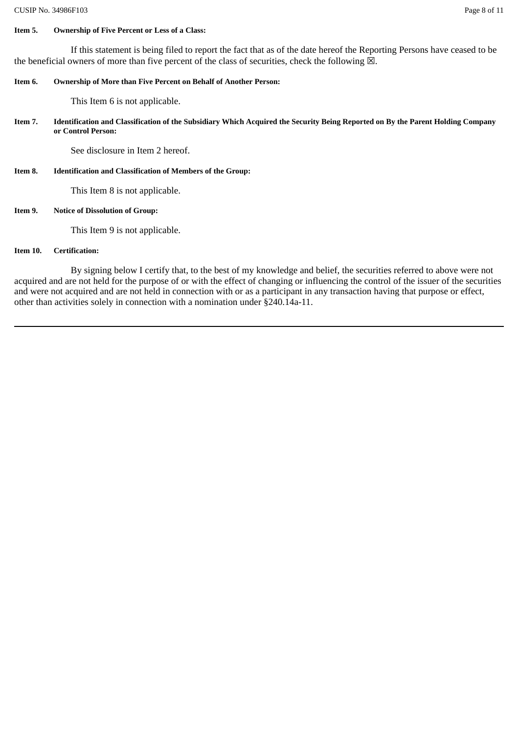### **Item 5. Ownership of Five Percent or Less of a Class:**

If this statement is being filed to report the fact that as of the date hereof the Reporting Persons have ceased to be the beneficial owners of more than five percent of the class of securities, check the following  $\boxtimes$ .

### **Item 6. Ownership of More than Five Percent on Behalf of Another Person:**

This Item 6 is not applicable.

Item 7. Identification and Classification of the Subsidiary Which Acquired the Security Being Reported on By the Parent Holding Company **or Control Person:**

See disclosure in Item 2 hereof.

**Item 8. Identification and Classification of Members of the Group:**

This Item 8 is not applicable.

## **Item 9. Notice of Dissolution of Group:**

This Item 9 is not applicable.

### **Item 10. Certification:**

By signing below I certify that, to the best of my knowledge and belief, the securities referred to above were not acquired and are not held for the purpose of or with the effect of changing or influencing the control of the issuer of the securities and were not acquired and are not held in connection with or as a participant in any transaction having that purpose or effect, other than activities solely in connection with a nomination under §240.14a-11.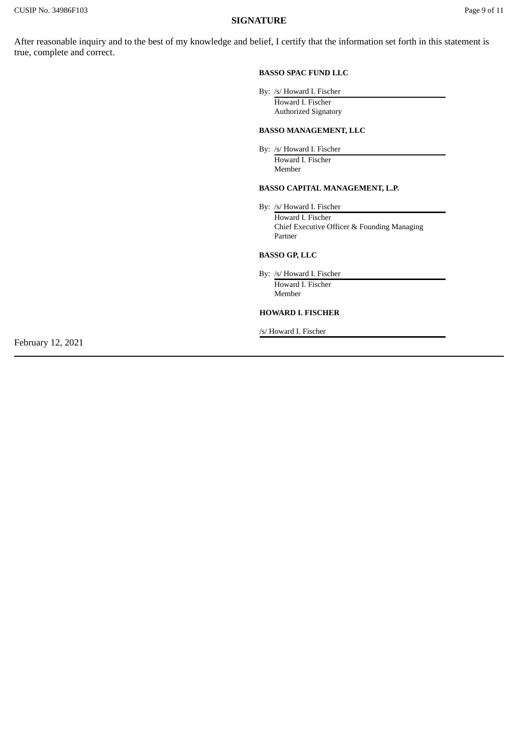## **SIGNATURE**

After reasonable inquiry and to the best of my knowledge and belief, I certify that the information set forth in this statement is true, complete and correct.

#### **BASSO SPAC FUND LLC**

By: /s/ Howard I. Fischer

Howard I. Fischer Authorized Signatory

### **BASSO MANAGEMENT, LLC**

By: /s/ Howard I. Fischer Howard I. Fischer Member

## **BASSO CAPITAL MANAGEMENT, L.P.**

By: /s/ Howard I. Fischer Howard I. Fischer Chief Executive Officer & Founding Managing Partner

## **BASSO GP, LLC**

By: /s/ Howard I. Fischer

Howard I. Fischer Member

### **HOWARD I. FISCHER**

/s/ Howard I. Fischer

February 12, 2021